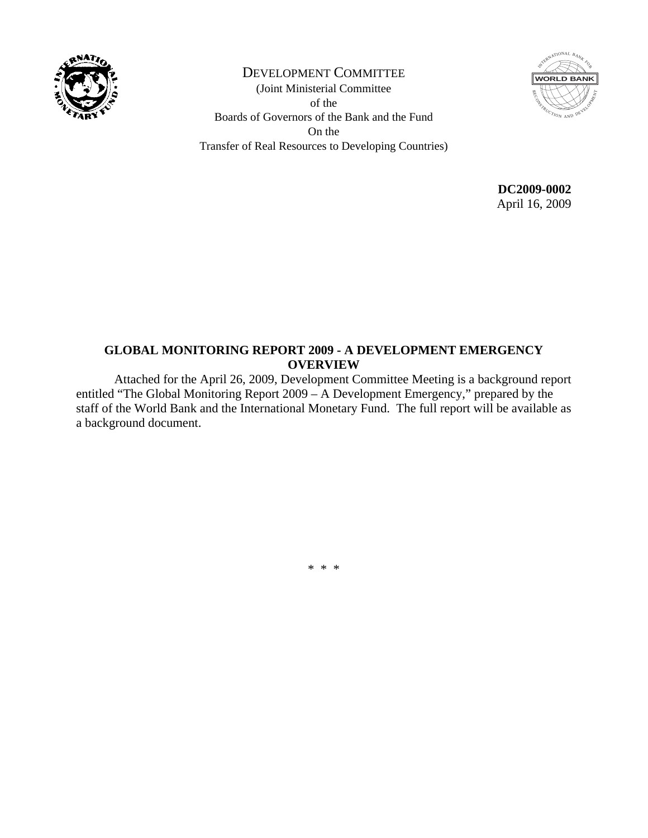

DEVELOPMENT COMMITTEE (Joint Ministerial Committee of the Boards of Governors of the Bank and the Fund On the Transfer of Real Resources to Developing Countries)



**DC2009-0002**  April 16, 2009

# **GLOBAL MONITORING REPORT 2009 - A DEVELOPMENT EMERGENCY OVERVIEW**

 Attached for the April 26, 2009, Development Committee Meeting is a background report entitled "The Global Monitoring Report 2009 – A Development Emergency," prepared by the staff of the World Bank and the International Monetary Fund. The full report will be available as a background document.

\* \* \*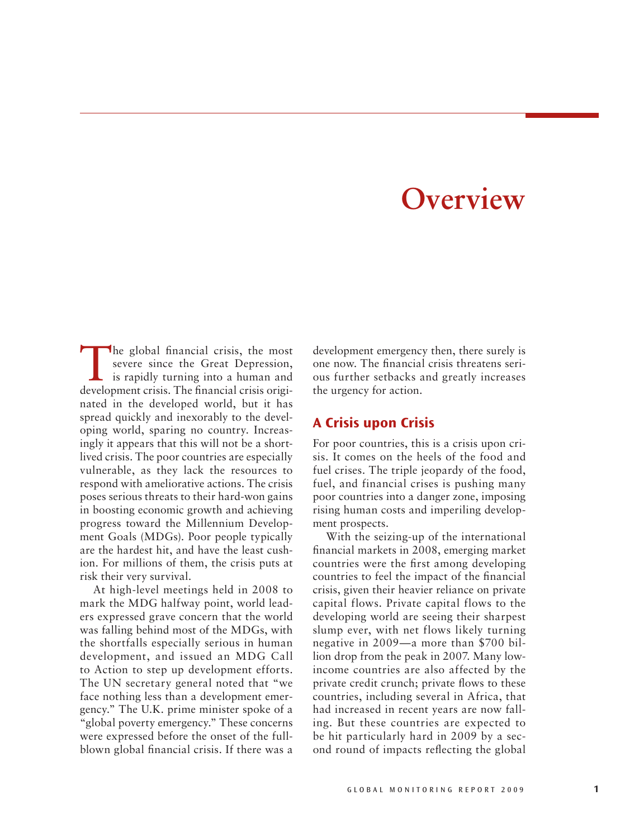# **Overview**

The global financial crisis, the most severe since the Great Depression, is rapidly turning into a human and development crisis. The financial crisis originated in the developed world, but it has spread quickly and inexorably to the developing world, sparing no country. Increasingly it appears that this will not be a shortlived crisis. The poor countries are especially vulnerable, as they lack the resources to respond with ameliorative actions. The crisis poses serious threats to their hard-won gains in boosting economic growth and achieving progress toward the Millennium Development Goals (MDGs). Poor people typically are the hardest hit, and have the least cushion. For millions of them, the crisis puts at risk their very survival.

At high-level meetings held in 2008 to mark the MDG halfway point, world leaders expressed grave concern that the world was falling behind most of the MDGs, with the shortfalls especially serious in human development, and issued an MDG Call to Action to step up development efforts. The UN secretary general noted that "we face nothing less than a development emergency." The U.K. prime minister spoke of a "global poverty emergency." These concerns were expressed before the onset of the fullblown global financial crisis. If there was a development emergency then, there surely is one now. The financial crisis threatens serious further setbacks and greatly increases the urgency for action.

### **A Crisis upon Crisis**

For poor countries, this is a crisis upon crisis. It comes on the heels of the food and fuel crises. The triple jeopardy of the food, fuel, and financial crises is pushing many poor countries into a danger zone, imposing rising human costs and imperiling development prospects.

With the seizing-up of the international financial markets in 2008, emerging market countries were the first among developing countries to feel the impact of the financial crisis, given their heavier reliance on private capital flows. Private capital flows to the developing world are seeing their sharpest slump ever, with net flows likely turning negative in 2009—a more than \$700 billion drop from the peak in 2007. Many lowincome countries are also affected by the private credit crunch; private flows to these countries, including several in Africa, that had increased in recent years are now falling. But these countries are expected to be hit particularly hard in 2009 by a second round of impacts reflecting the global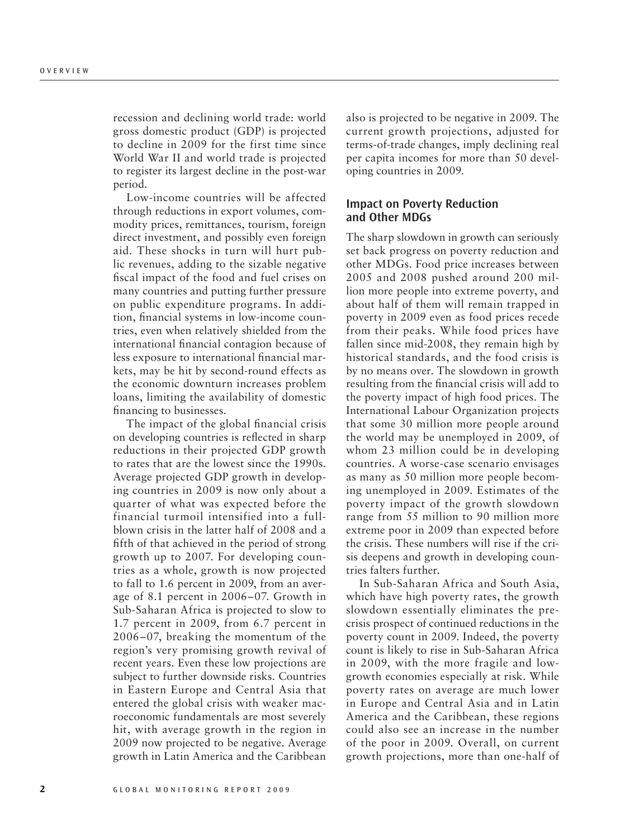recession and declining world trade: world gross domestic product (GDP) is projected to decline in 2009 for the first time since World War II and world trade is projected to register its largest decline in the post-war period.

Low-income countries will be affected through reductions in export volumes, commodity prices, remittances, tourism, foreign direct investment, and possibly even foreign aid. These shocks in turn will hurt public revenues, adding to the sizable negative fiscal impact of the food and fuel crises on many countries and putting further pressure on public expenditure programs. In addition, financial systems in low-income countries, even when relatively shielded from the international financial contagion because of less exposure to international financial markets, may be hit by second-round effects as the economic downturn increases problem loans, limiting the availability of domestic financing to businesses.

The impact of the global financial crisis on developing countries is reflected in sharp reductions in their projected GDP growth to rates that are the lowest since the 1990s. Average projected GDP growth in developing countries in 2009 is now only about a quarter of what was expected before the financial turmoil intensified into a fullblown crisis in the latter half of 2008 and a fifth of that achieved in the period of strong growth up to 2007. For developing countries as a whole, growth is now projected to fall to 1.6 percent in 2009, from an average of 8.1 percent in 2006–07. Growth in Sub-Saharan Africa is projected to slow to 1.7 percent in 2009, from 6.7 percent in 2006–07, breaking the momentum of the region's very promising growth revival of recent years. Even these low projections are subject to further downside risks. Countries in Eastern Europe and Central Asia that entered the global crisis with weaker macroeconomic fundamentals are most severely hit, with average growth in the region in 2009 now projected to be negative. Average growth in Latin America and the Caribbean

also is projected to be negative in 2009. The current growth projections, adjusted for terms-of-trade changes, imply declining real per capita incomes for more than 50 developing countries in 2009.

## **Impact on Poverty Reduction and Other MDGs**

The sharp slowdown in growth can seriously set back progress on poverty reduction and other MDGs. Food price increases between 2005 and 2008 pushed around 200 million more people into extreme poverty, and about half of them will remain trapped in poverty in 2009 even as food prices recede from their peaks. While food prices have fallen since mid-2008, they remain high by historical standards, and the food crisis is by no means over. The slowdown in growth resulting from the financial crisis will add to the poverty impact of high food prices. The International Labour Organization projects that some 30 million more people around the world may be unemployed in 2009, of whom 23 million could be in developing countries. A worse-case scenario envisages as many as 50 million more people becoming unemployed in 2009. Estimates of the poverty impact of the growth slowdown range from 55 million to 90 million more extreme poor in 2009 than expected before the crisis. These numbers will rise if the crisis deepens and growth in developing countries falters further.

In Sub-Saharan Africa and South Asia, which have high poverty rates, the growth slowdown essentially eliminates the precrisis prospect of continued reductions in the poverty count in 2009. Indeed, the poverty count is likely to rise in Sub-Saharan Africa in 2009, with the more fragile and lowgrowth economies especially at risk. While poverty rates on average are much lower in Europe and Central Asia and in Latin America and the Caribbean, these regions could also see an increase in the number of the poor in 2009. Overall, on current growth projections, more than one-half of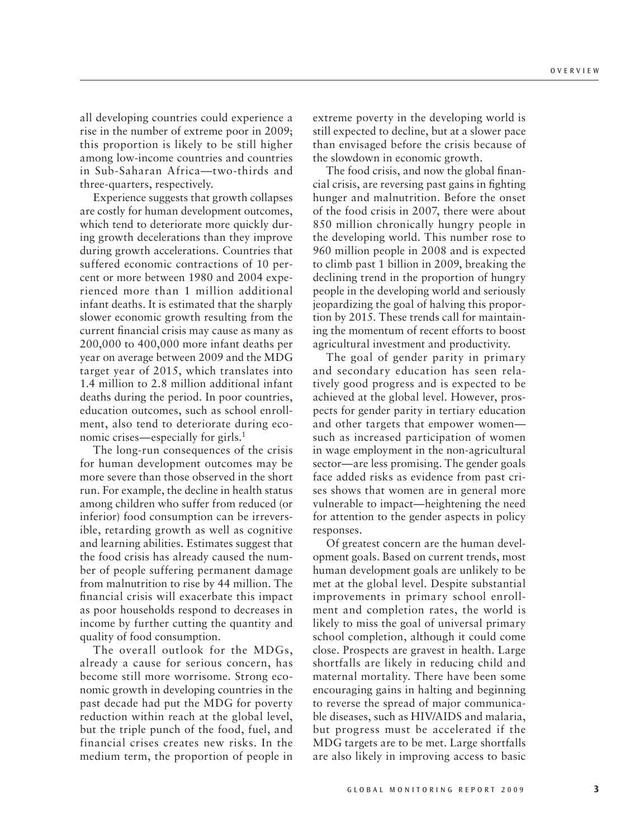all developing countries could experience a rise in the number of extreme poor in 2009; this proportion is likely to be still higher among low-income countries and countries in Sub-Saharan Africa—two-thirds and three-quarters, respectively.

Experience suggests that growth collapses are costly for human development outcomes, which tend to deteriorate more quickly during growth decelerations than they improve during growth accelerations. Countries that suffered economic contractions of 10 percent or more between 1980 and 2004 experienced more than 1 million additional infant deaths. It is estimated that the sharply slower economic growth resulting from the current financial crisis may cause as many as 200,000 to 400,000 more infant deaths per year on average between 2009 and the MDG target year of 2015, which translates into 1.4 million to 2.8 million additional infant deaths during the period. In poor countries, education outcomes, such as school enrollment, also tend to deteriorate during economic crises—especially for girls.<sup>1</sup>

The long-run consequences of the crisis for human development outcomes may be more severe than those observed in the short run. For example, the decline in health status among children who suffer from reduced (or inferior) food consumption can be irreversible, retarding growth as well as cognitive and learning abilities. Estimates suggest that the food crisis has already caused the number of people suffering permanent damage from malnutrition to rise by 44 million. The financial crisis will exacerbate this impact as poor households respond to decreases in income by further cutting the quantity and quality of food consumption.

The overall outlook for the MDGs, already a cause for serious concern, has become still more worrisome. Strong economic growth in developing countries in the past decade had put the MDG for poverty reduction within reach at the global level, but the triple punch of the food, fuel, and financial crises creates new risks. In the medium term, the proportion of people in extreme poverty in the developing world is still expected to decline, but at a slower pace than envisaged before the crisis because of the slowdown in economic growth.

The food crisis, and now the global financial crisis, are reversing past gains in fighting hunger and malnutrition. Before the onset of the food crisis in 2007, there were about 850 million chronically hungry people in the developing world. This number rose to 960 million people in 2008 and is expected to climb past 1 billion in 2009, breaking the declining trend in the proportion of hungry people in the developing world and seriously jeopardizing the goal of halving this proportion by 2015. These trends call for maintaining the momentum of recent efforts to boost agricultural investment and productivity.

The goal of gender parity in primary and secondary education has seen relatively good progress and is expected to be achieved at the global level. However, prospects for gender parity in tertiary education and other targets that empower women such as increased participation of women in wage employment in the non-agricultural sector—are less promising. The gender goals face added risks as evidence from past crises shows that women are in general more vulnerable to impact—heightening the need for attention to the gender aspects in policy responses.

Of greatest concern are the human development goals. Based on current trends, most human development goals are unlikely to be met at the global level. Despite substantial improvements in primary school enrollment and completion rates, the world is likely to miss the goal of universal primary school completion, although it could come close. Prospects are gravest in health. Large shortfalls are likely in reducing child and maternal mortality. There have been some encouraging gains in halting and beginning to reverse the spread of major communicable diseases, such as HIV/AIDS and malaria, but progress must be accelerated if the MDG targets are to be met. Large shortfalls are also likely in improving access to basic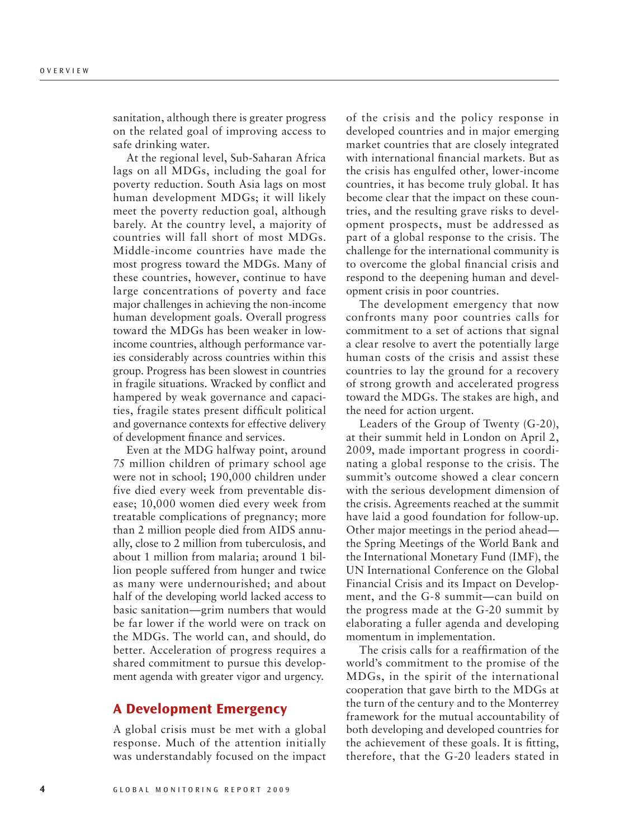sanitation, although there is greater progress on the related goal of improving access to safe drinking water.

At the regional level, Sub-Saharan Africa lags on all MDGs, including the goal for poverty reduction. South Asia lags on most human development MDGs; it will likely meet the poverty reduction goal, although barely. At the country level, a majority of countries will fall short of most MDGs. Middle-income countries have made the most progress toward the MDGs. Many of these countries, however, continue to have large concentrations of poverty and face major challenges in achieving the non-income human development goals. Overall progress toward the MDGs has been weaker in lowincome countries, although performance varies considerably across countries within this group. Progress has been slowest in countries in fragile situations. Wracked by conflict and hampered by weak governance and capacities, fragile states present difficult political and governance contexts for effective delivery of development finance and services.

Even at the MDG halfway point, around 75 million children of primary school age were not in school; 190,000 children under five died every week from preventable disease; 10,000 women died every week from treatable complications of pregnancy; more than 2 million people died from AIDS annually, close to 2 million from tuberculosis, and about 1 million from malaria; around 1 billion people suffered from hunger and twice as many were undernourished; and about half of the developing world lacked access to basic sanitation—grim numbers that would be far lower if the world were on track on the MDGs. The world can, and should, do better. Acceleration of progress requires a shared commitment to pursue this development agenda with greater vigor and urgency.

## **A Development Emergency**

A global crisis must be met with a global response. Much of the attention initially was understandably focused on the impact of the crisis and the policy response in developed countries and in major emerging market countries that are closely integrated with international financial markets. But as the crisis has engulfed other, lower-income countries, it has become truly global. It has become clear that the impact on these countries, and the resulting grave risks to development prospects, must be addressed as part of a global response to the crisis. The challenge for the international community is to overcome the global financial crisis and respond to the deepening human and development crisis in poor countries.

The development emergency that now confronts many poor countries calls for commitment to a set of actions that signal a clear resolve to avert the potentially large human costs of the crisis and assist these countries to lay the ground for a recovery of strong growth and accelerated progress toward the MDGs. The stakes are high, and the need for action urgent.

Leaders of the Group of Twenty (G-20), at their summit held in London on April 2, 2009, made important progress in coordinating a global response to the crisis. The summit's outcome showed a clear concern with the serious development dimension of the crisis. Agreements reached at the summit have laid a good foundation for follow-up. Other major meetings in the period ahead the Spring Meetings of the World Bank and the International Monetary Fund (IMF), the UN International Conference on the Global Financial Crisis and its Impact on Development, and the G-8 summit—can build on the progress made at the G-20 summit by elaborating a fuller agenda and developing momentum in implementation.

The crisis calls for a reaffirmation of the world's commitment to the promise of the MDGs, in the spirit of the international cooperation that gave birth to the MDGs at the turn of the century and to the Monterrey framework for the mutual accountability of both developing and developed countries for the achievement of these goals. It is fitting, therefore, that the G-20 leaders stated in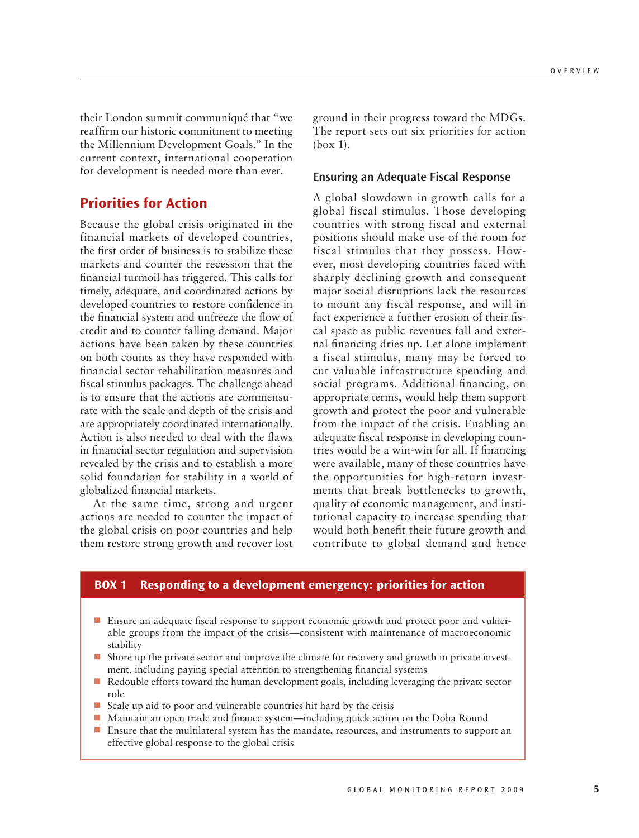their London summit communiqué that "we reaffirm our historic commitment to meeting the Millennium Development Goals." In the current context, international cooperation for development is needed more than ever.

# **Priorities for Action**

Because the global crisis originated in the financial markets of developed countries, the first order of business is to stabilize these markets and counter the recession that the financial turmoil has triggered. This calls for timely, adequate, and coordinated actions by developed countries to restore confidence in the financial system and unfreeze the flow of credit and to counter falling demand. Major actions have been taken by these countries on both counts as they have responded with financial sector rehabilitation measures and fiscal stimulus packages. The challenge ahead is to ensure that the actions are commensurate with the scale and depth of the crisis and are appropriately coordinated internationally. Action is also needed to deal with the flaws in financial sector regulation and supervision revealed by the crisis and to establish a more solid foundation for stability in a world of globalized financial markets.

At the same time, strong and urgent actions are needed to counter the impact of the global crisis on poor countries and help them restore strong growth and recover lost ground in their progress toward the MDGs. The report sets out six priorities for action (box 1).

#### **Ensuring an Adequate Fiscal Response**

A global slowdown in growth calls for a global fiscal stimulus. Those developing countries with strong fiscal and external positions should make use of the room for fiscal stimulus that they possess. However, most developing countries faced with sharply declining growth and consequent major social disruptions lack the resources to mount any fiscal response, and will in fact experience a further erosion of their fiscal space as public revenues fall and external financing dries up. Let alone implement a fiscal stimulus, many may be forced to cut valuable infrastructure spending and social programs. Additional financing, on appropriate terms, would help them support growth and protect the poor and vulnerable from the impact of the crisis. Enabling an adequate fiscal response in developing countries would be a win-win for all. If financing were available, many of these countries have the opportunities for high-return investments that break bottlenecks to growth, quality of economic management, and institutional capacity to increase spending that would both benefit their future growth and contribute to global demand and hence

#### **Box 1 Responding to a development emergency: priorities for action**

- **T** Ensure an adequate fiscal response to support economic growth and protect poor and vulnerable groups from the impact of the crisis—consistent with maintenance of macroeconomic stability
- **T** Shore up the private sector and improve the climate for recovery and growth in private investment, including paying special attention to strengthening financial systems
- 7 Redouble efforts toward the human development goals, including leveraging the private sector role
- $\blacksquare$  Scale up aid to poor and vulnerable countries hit hard by the crisis
- 7 Maintain an open trade and finance system—including quick action on the Doha Round
- **T** Ensure that the multilateral system has the mandate, resources, and instruments to support an effective global response to the global crisis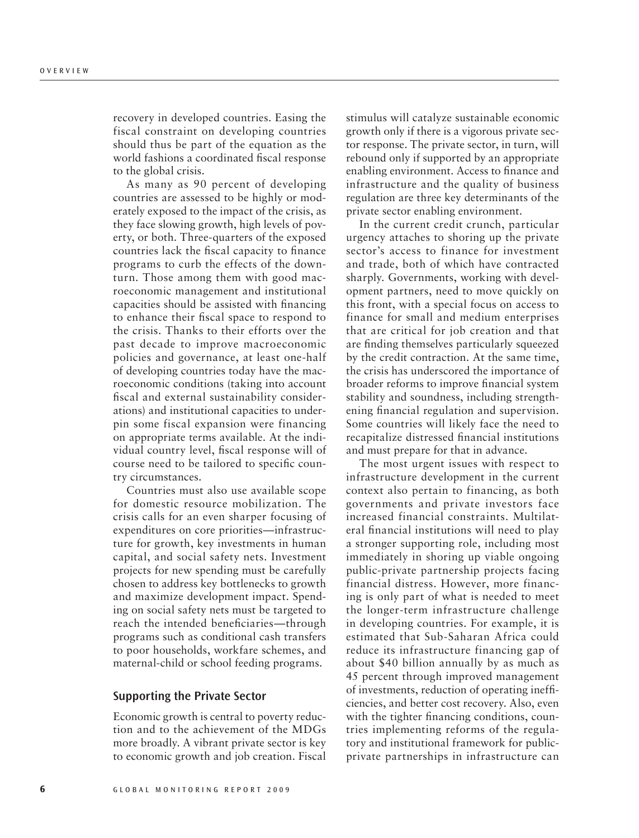recovery in developed countries. Easing the fiscal constraint on developing countries should thus be part of the equation as the world fashions a coordinated fiscal response to the global crisis.

As many as 90 percent of developing countries are assessed to be highly or moderately exposed to the impact of the crisis, as they face slowing growth, high levels of poverty, or both. Three-quarters of the exposed countries lack the fiscal capacity to finance programs to curb the effects of the downturn. Those among them with good macroeconomic management and institutional capacities should be assisted with financing to enhance their fiscal space to respond to the crisis. Thanks to their efforts over the past decade to improve macroeconomic policies and governance, at least one-half of developing countries today have the macroeconomic conditions (taking into account fiscal and external sustainability considerations) and institutional capacities to underpin some fiscal expansion were financing on appropriate terms available. At the individual country level, fiscal response will of course need to be tailored to specific country circumstances.

Countries must also use available scope for domestic resource mobilization. The crisis calls for an even sharper focusing of expenditures on core priorities—infrastructure for growth, key investments in human capital, and social safety nets. Investment projects for new spending must be carefully chosen to address key bottlenecks to growth and maximize development impact. Spending on social safety nets must be targeted to reach the intended beneficiaries—through programs such as conditional cash transfers to poor households, workfare schemes, and maternal-child or school feeding programs.

#### **Supporting the Private Sector**

Economic growth is central to poverty reduction and to the achievement of the MDGs more broadly. A vibrant private sector is key to economic growth and job creation. Fiscal stimulus will catalyze sustainable economic growth only if there is a vigorous private sector response. The private sector, in turn, will rebound only if supported by an appropriate enabling environment. Access to finance and infrastructure and the quality of business regulation are three key determinants of the private sector enabling environment.

In the current credit crunch, particular urgency attaches to shoring up the private sector's access to finance for investment and trade, both of which have contracted sharply. Governments, working with development partners, need to move quickly on this front, with a special focus on access to finance for small and medium enterprises that are critical for job creation and that are finding themselves particularly squeezed by the credit contraction. At the same time, the crisis has underscored the importance of broader reforms to improve financial system stability and soundness, including strengthening financial regulation and supervision. Some countries will likely face the need to recapitalize distressed financial institutions and must prepare for that in advance.

The most urgent issues with respect to infrastructure development in the current context also pertain to financing, as both governments and private investors face increased financial constraints. Multilateral financial institutions will need to play a stronger supporting role, including most immediately in shoring up viable ongoing public-private partnership projects facing financial distress. However, more financing is only part of what is needed to meet the longer-term infrastructure challenge in developing countries. For example, it is estimated that Sub-Saharan Africa could reduce its infrastructure financing gap of about \$40 billion annually by as much as 45 percent through improved management of investments, reduction of operating inefficiencies, and better cost recovery. Also, even with the tighter financing conditions, countries implementing reforms of the regulatory and institutional framework for publicprivate partnerships in infrastructure can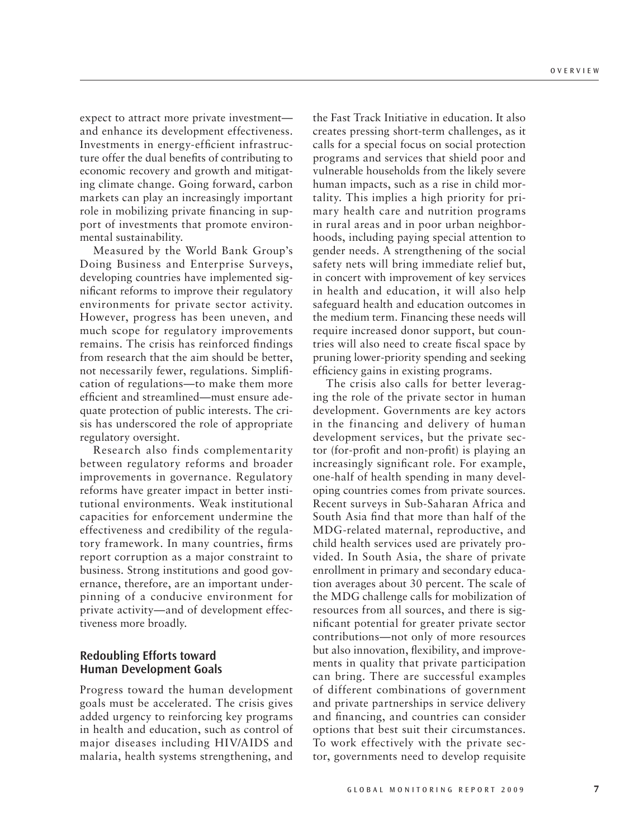expect to attract more private investment and enhance its development effectiveness. Investments in energy-efficient infrastructure offer the dual benefits of contributing to economic recovery and growth and mitigating climate change. Going forward, carbon markets can play an increasingly important role in mobilizing private financing in support of investments that promote environmental sustainability.

Measured by the World Bank Group's Doing Business and Enterprise Surveys, developing countries have implemented significant reforms to improve their regulatory environments for private sector activity. However, progress has been uneven, and much scope for regulatory improvements remains. The crisis has reinforced findings from research that the aim should be better, not necessarily fewer, regulations. Simplification of regulations—to make them more efficient and streamlined—must ensure adequate protection of public interests. The crisis has underscored the role of appropriate regulatory oversight.

Research also finds complementarity between regulatory reforms and broader improvements in governance. Regulatory reforms have greater impact in better institutional environments. Weak institutional capacities for enforcement undermine the effectiveness and credibility of the regulatory framework. In many countries, firms report corruption as a major constraint to business. Strong institutions and good governance, therefore, are an important underpinning of a conducive environment for private activity—and of development effectiveness more broadly.

#### **Redoubling Efforts toward Human Development Goals**

Progress toward the human development goals must be accelerated. The crisis gives added urgency to reinforcing key programs in health and education, such as control of major diseases including HIV/AIDS and malaria, health systems strengthening, and the Fast Track Initiative in education. It also creates pressing short-term challenges, as it calls for a special focus on social protection programs and services that shield poor and vulnerable households from the likely severe human impacts, such as a rise in child mortality. This implies a high priority for primary health care and nutrition programs in rural areas and in poor urban neighborhoods, including paying special attention to gender needs. A strengthening of the social safety nets will bring immediate relief but, in concert with improvement of key services in health and education, it will also help safeguard health and education outcomes in the medium term. Financing these needs will require increased donor support, but countries will also need to create fiscal space by pruning lower-priority spending and seeking efficiency gains in existing programs.

The crisis also calls for better leveraging the role of the private sector in human development. Governments are key actors in the financing and delivery of human development services, but the private sector (for-profit and non-profit) is playing an increasingly significant role. For example, one-half of health spending in many developing countries comes from private sources. Recent surveys in Sub-Saharan Africa and South Asia find that more than half of the MDG-related maternal, reproductive, and child health services used are privately provided. In South Asia, the share of private enrollment in primary and secondary education averages about 30 percent. The scale of the MDG challenge calls for mobilization of resources from all sources, and there is significant potential for greater private sector contributions—not only of more resources but also innovation, flexibility, and improvements in quality that private participation can bring. There are successful examples of different combinations of government and private partnerships in service delivery and financing, and countries can consider options that best suit their circumstances. To work effectively with the private sector, governments need to develop requisite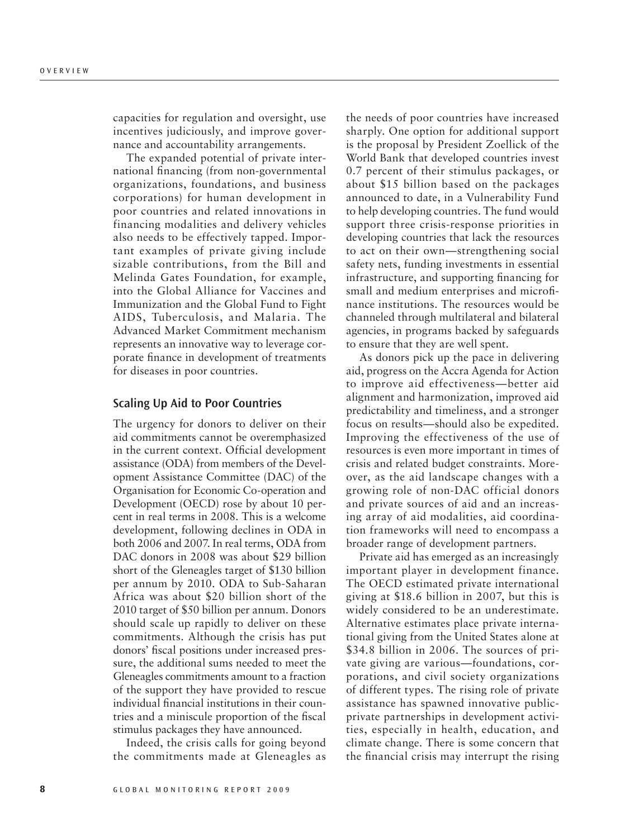capacities for regulation and oversight, use incentives judiciously, and improve governance and accountability arrangements.

The expanded potential of private international financing (from non-governmental organizations, foundations, and business corporations) for human development in poor countries and related innovations in financing modalities and delivery vehicles also needs to be effectively tapped. Important examples of private giving include sizable contributions, from the Bill and Melinda Gates Foundation, for example, into the Global Alliance for Vaccines and Immunization and the Global Fund to Fight AIDS, Tuberculosis, and Malaria. The Advanced Market Commitment mechanism represents an innovative way to leverage corporate finance in development of treatments for diseases in poor countries.

#### **Scaling Up Aid to Poor Countries**

The urgency for donors to deliver on their aid commitments cannot be overemphasized in the current context. Official development assistance (ODA) from members of the Development Assistance Committee (DAC) of the Organisation for Economic Co-operation and Development (OECD) rose by about 10 percent in real terms in 2008. This is a welcome development, following declines in ODA in both 2006 and 2007. In real terms, ODA from DAC donors in 2008 was about \$29 billion short of the Gleneagles target of \$130 billion per annum by 2010. ODA to Sub-Saharan Africa was about \$20 billion short of the 2010 target of \$50 billion per annum. Donors should scale up rapidly to deliver on these commitments. Although the crisis has put donors' fiscal positions under increased pressure, the additional sums needed to meet the Gleneagles commitments amount to a fraction of the support they have provided to rescue individual financial institutions in their countries and a miniscule proportion of the fiscal stimulus packages they have announced.

Indeed, the crisis calls for going beyond the commitments made at Gleneagles as

the needs of poor countries have increased sharply. One option for additional support is the proposal by President Zoellick of the World Bank that developed countries invest 0.7 percent of their stimulus packages, or about \$15 billion based on the packages announced to date, in a Vulnerability Fund to help developing countries. The fund would support three crisis-response priorities in developing countries that lack the resources to act on their own—strengthening social safety nets, funding investments in essential infrastructure, and supporting financing for small and medium enterprises and microfinance institutions. The resources would be channeled through multilateral and bilateral agencies, in programs backed by safeguards to ensure that they are well spent.

As donors pick up the pace in delivering aid, progress on the Accra Agenda for Action to improve aid effectiveness—better aid alignment and harmonization, improved aid predictability and timeliness, and a stronger focus on results—should also be expedited. Improving the effectiveness of the use of resources is even more important in times of crisis and related budget constraints. Moreover, as the aid landscape changes with a growing role of non-DAC official donors and private sources of aid and an increasing array of aid modalities, aid coordination frameworks will need to encompass a broader range of development partners.

Private aid has emerged as an increasingly important player in development finance. The OECD estimated private international giving at \$18.6 billion in 2007, but this is widely considered to be an underestimate. Alternative estimates place private international giving from the United States alone at \$34.8 billion in 2006. The sources of private giving are various—foundations, corporations, and civil society organizations of different types. The rising role of private assistance has spawned innovative publicprivate partnerships in development activities, especially in health, education, and climate change. There is some concern that the financial crisis may interrupt the rising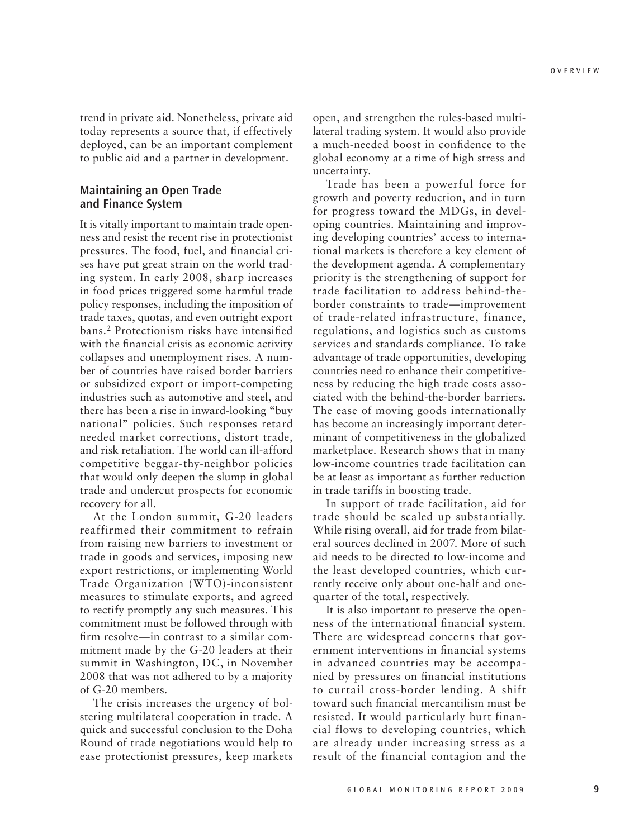trend in private aid. Nonetheless, private aid today represents a source that, if effectively deployed, can be an important complement to public aid and a partner in development.

## **Maintaining an Open Trade and Finance System**

It is vitally important to maintain trade openness and resist the recent rise in protectionist pressures. The food, fuel, and financial crises have put great strain on the world trading system. In early 2008, sharp increases in food prices triggered some harmful trade policy responses, including the imposition of trade taxes, quotas, and even outright export bans.2 Protectionism risks have intensified with the financial crisis as economic activity collapses and unemployment rises. A number of countries have raised border barriers or subsidized export or import-competing industries such as automotive and steel, and there has been a rise in inward-looking "buy national" policies. Such responses retard needed market corrections, distort trade, and risk retaliation. The world can ill-afford competitive beggar-thy-neighbor policies that would only deepen the slump in global trade and undercut prospects for economic recovery for all.

At the London summit, G-20 leaders reaffirmed their commitment to refrain from raising new barriers to investment or trade in goods and services, imposing new export restrictions, or implementing World Trade Organization (WTO)-inconsistent measures to stimulate exports, and agreed to rectify promptly any such measures. This commitment must be followed through with firm resolve—in contrast to a similar commitment made by the G-20 leaders at their summit in Washington, DC, in November 2008 that was not adhered to by a majority of G-20 members.

The crisis increases the urgency of bolstering multilateral cooperation in trade. A quick and successful conclusion to the Doha Round of trade negotiations would help to ease protectionist pressures, keep markets open, and strengthen the rules-based multilateral trading system. It would also provide a much-needed boost in confidence to the global economy at a time of high stress and uncertainty.

Trade has been a powerful force for growth and poverty reduction, and in turn for progress toward the MDGs, in developing countries. Maintaining and improving developing countries' access to international markets is therefore a key element of the development agenda. A complementary priority is the strengthening of support for trade facilitation to address behind-theborder constraints to trade—improvement of trade-related infrastructure, finance, regulations, and logistics such as customs services and standards compliance. To take advantage of trade opportunities, developing countries need to enhance their competitiveness by reducing the high trade costs associated with the behind-the-border barriers. The ease of moving goods internationally has become an increasingly important determinant of competitiveness in the globalized marketplace. Research shows that in many low-income countries trade facilitation can be at least as important as further reduction in trade tariffs in boosting trade.

In support of trade facilitation, aid for trade should be scaled up substantially. While rising overall, aid for trade from bilateral sources declined in 2007. More of such aid needs to be directed to low-income and the least developed countries, which currently receive only about one-half and onequarter of the total, respectively.

It is also important to preserve the openness of the international financial system. There are widespread concerns that government interventions in financial systems in advanced countries may be accompanied by pressures on financial institutions to curtail cross-border lending. A shift toward such financial mercantilism must be resisted. It would particularly hurt financial flows to developing countries, which are already under increasing stress as a result of the financial contagion and the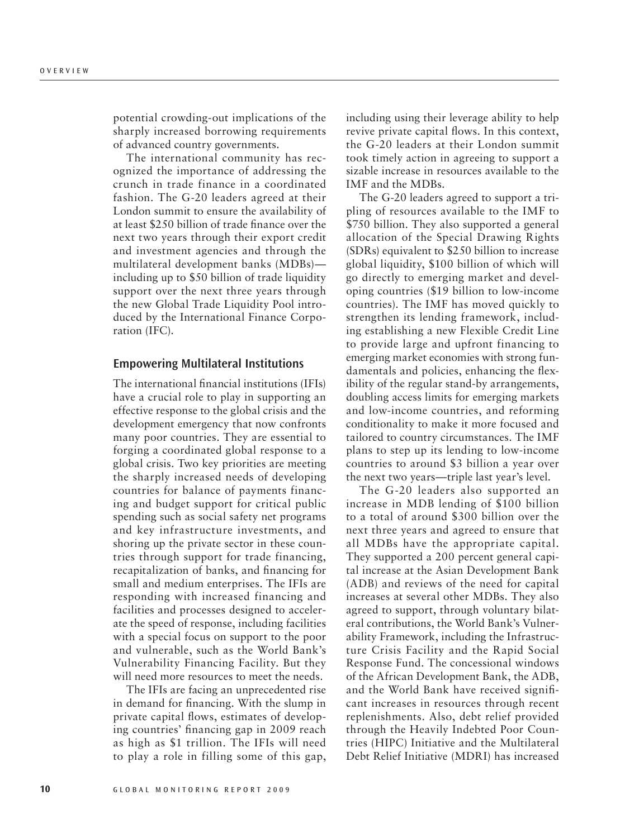potential crowding-out implications of the sharply increased borrowing requirements of advanced country governments.

The international community has recognized the importance of addressing the crunch in trade finance in a coordinated fashion. The G-20 leaders agreed at their London summit to ensure the availability of at least \$250 billion of trade finance over the next two years through their export credit and investment agencies and through the multilateral development banks (MDBs) including up to \$50 billion of trade liquidity support over the next three years through the new Global Trade Liquidity Pool introduced by the International Finance Corporation (IFC).

#### **Empowering Multilateral Institutions**

The international financial institutions (IFIs) have a crucial role to play in supporting an effective response to the global crisis and the development emergency that now confronts many poor countries. They are essential to forging a coordinated global response to a global crisis. Two key priorities are meeting the sharply increased needs of developing countries for balance of payments financing and budget support for critical public spending such as social safety net programs and key infrastructure investments, and shoring up the private sector in these countries through support for trade financing, recapitalization of banks, and financing for small and medium enterprises. The IFIs are responding with increased financing and facilities and processes designed to accelerate the speed of response, including facilities with a special focus on support to the poor and vulnerable, such as the World Bank's Vulnerability Financing Facility. But they will need more resources to meet the needs.

The IFIs are facing an unprecedented rise in demand for financing. With the slump in private capital flows, estimates of developing countries' financing gap in 2009 reach as high as \$1 trillion. The IFIs will need to play a role in filling some of this gap, including using their leverage ability to help revive private capital flows. In this context, the G-20 leaders at their London summit took timely action in agreeing to support a sizable increase in resources available to the IMF and the MDBs.

The G-20 leaders agreed to support a tripling of resources available to the IMF to \$750 billion. They also supported a general allocation of the Special Drawing Rights (SDRs) equivalent to \$250 billion to increase global liquidity, \$100 billion of which will go directly to emerging market and developing countries (\$19 billion to low-income countries). The IMF has moved quickly to strengthen its lending framework, including establishing a new Flexible Credit Line to provide large and upfront financing to emerging market economies with strong fundamentals and policies, enhancing the flexibility of the regular stand-by arrangements, doubling access limits for emerging markets and low-income countries, and reforming conditionality to make it more focused and tailored to country circumstances. The IMF plans to step up its lending to low-income countries to around \$3 billion a year over the next two years—triple last year's level.

The G-20 leaders also supported an increase in MDB lending of \$100 billion to a total of around \$300 billion over the next three years and agreed to ensure that all MDBs have the appropriate capital. They supported a 200 percent general capital increase at the Asian Development Bank (ADB) and reviews of the need for capital increases at several other MDBs. They also agreed to support, through voluntary bilateral contributions, the World Bank's Vulnerability Framework, including the Infrastructure Crisis Facility and the Rapid Social Response Fund. The concessional windows of the African Development Bank, the ADB, and the World Bank have received significant increases in resources through recent replenishments. Also, debt relief provided through the Heavily Indebted Poor Countries (HIPC) Initiative and the Multilateral Debt Relief Initiative (MDRI) has increased